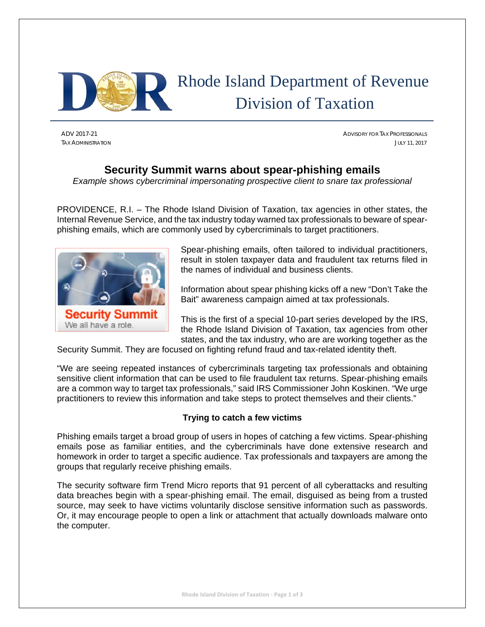

# Rhode Island Department of Revenue Division of Taxation

ADV 2017-21 ADVISORY FOR TAX PROFESSIONALS TAX ADMINISTRATION JULY 11, 2017

# **Security Summit warns about spear-phishing emails**

*Example shows cybercriminal impersonating prospective client to snare tax professional* 

PROVIDENCE, R.I. – The Rhode Island Division of Taxation, tax agencies in other states, the Internal Revenue Service, and the tax industry today warned tax professionals to beware of spearphishing emails, which are commonly used by cybercriminals to target practitioners.



Spear-phishing emails, often tailored to individual practitioners, result in stolen taxpayer data and fraudulent tax returns filed in the names of individual and business clients.

Information about spear phishing kicks off a new "Don't Take the Bait" awareness campaign aimed at tax professionals.

This is the first of a special 10-part series developed by the IRS, the Rhode Island Division of Taxation, tax agencies from other states, and the tax industry, who are are working together as the

Security Summit. They are focused on fighting refund fraud and tax-related identity theft.

"We are seeing repeated instances of cybercriminals targeting tax professionals and obtaining sensitive client information that can be used to file fraudulent tax returns. Spear-phishing emails are a common way to target tax professionals," said IRS Commissioner John Koskinen. "We urge practitioners to review this information and take steps to protect themselves and their clients."

# **Trying to catch a few victims**

Phishing emails target a broad group of users in hopes of catching a few victims. Spear-phishing emails pose as familiar entities, and the cybercriminals have done extensive research and homework in order to target a specific audience. Tax professionals and taxpayers are among the groups that regularly receive phishing emails.

The security software firm Trend Micro reports that 91 percent of all cyberattacks and resulting data breaches begin with a spear-phishing email. The email, disguised as being from a trusted source, may seek to have victims voluntarily disclose sensitive information such as passwords. Or, it may encourage people to open a link or attachment that actually downloads malware onto the computer.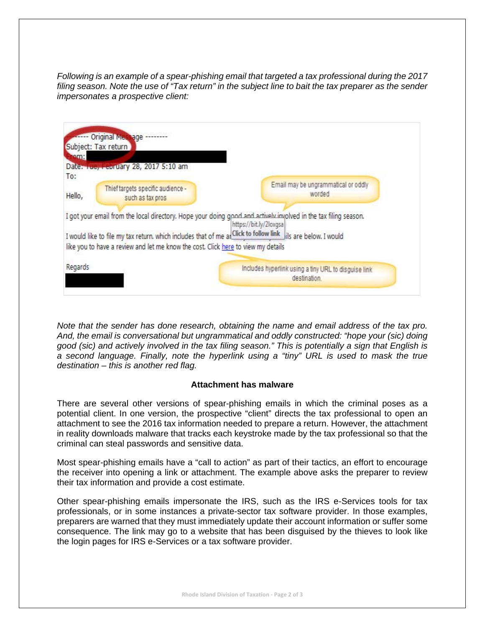*Following is an example of a spear-phishing email that targeted a tax professional during the 2017 filing season. Note the use of "Tax return" in the subject line to bait the tax preparer as the sender impersonates a prospective client:* 



*Note that the sender has done research, obtaining the name and email address of the tax pro. And, the email is conversational but ungrammatical and oddly constructed: "hope your (sic) doing good (sic) and actively involved in the tax filing season." This is potentially a sign that English is a second language. Finally, note the hyperlink using a "tiny" URL is used to mask the true destination – this is another red flag.* 

## **Attachment has malware**

There are several other versions of spear-phishing emails in which the criminal poses as a potential client. In one version, the prospective "client" directs the tax professional to open an attachment to see the 2016 tax information needed to prepare a return. However, the attachment in reality downloads malware that tracks each keystroke made by the tax professional so that the criminal can steal passwords and sensitive data.

Most spear-phishing emails have a "call to action" as part of their tactics, an effort to encourage the receiver into opening a link or attachment. The example above asks the preparer to review their tax information and provide a cost estimate.

Other spear-phishing emails impersonate the IRS, such as the IRS e-Services tools for tax professionals, or in some instances a private-sector tax software provider. In those examples, preparers are warned that they must immediately update their account information or suffer some consequence. The link may go to a website that has been disguised by the thieves to look like the login pages for IRS e-Services or a tax software provider.